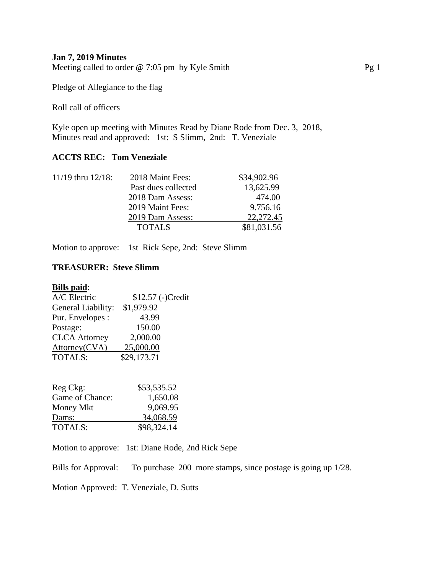## **Jan 7, 2019 Minutes**

Meeting called to order @ 7:05 pm by Kyle Smith Pg 1

Pledge of Allegiance to the flag

Roll call of officers

Kyle open up meeting with Minutes Read by Diane Rode from Dec. 3, 2018, Minutes read and approved: 1st: S Slimm, 2nd: T. Veneziale

## **ACCTS REC: Tom Veneziale**

| 2018 Maint Fees:    | \$34,902.96 |
|---------------------|-------------|
| Past dues collected | 13,625.99   |
| 2018 Dam Assess:    | 474.00      |
| 2019 Maint Fees:    | 9.756.16    |
| 2019 Dam Assess:    | 22, 272. 45 |
| <b>TOTALS</b>       | \$81,031.56 |
|                     |             |

Motion to approve: 1st Rick Sepe, 2nd: Steve Slimm

# **TREASURER: Steve Slimm**

#### **Bills paid**:

| A/C Electric         | \$12.57 (-)Credit |
|----------------------|-------------------|
| General Liability:   | \$1,979.92        |
| Pur. Envelopes :     | 43.99             |
| Postage:             | 150.00            |
| <b>CLCA</b> Attorney | 2,000.00          |
| Attorney(CVA)        | 25,000.00         |
| <b>TOTALS:</b>       | \$29,173.71       |

| Reg Ckg:        | \$53,535.52 |
|-----------------|-------------|
| Game of Chance: | 1,650.08    |
| Money Mkt       | 9,069.95    |
| Dams:           | 34,068.59   |
| <b>TOTALS:</b>  | \$98,324.14 |

Motion to approve: 1st: Diane Rode, 2nd Rick Sepe

Bills for Approval: To purchase 200 more stamps, since postage is going up 1/28.

Motion Approved: T. Veneziale, D. Sutts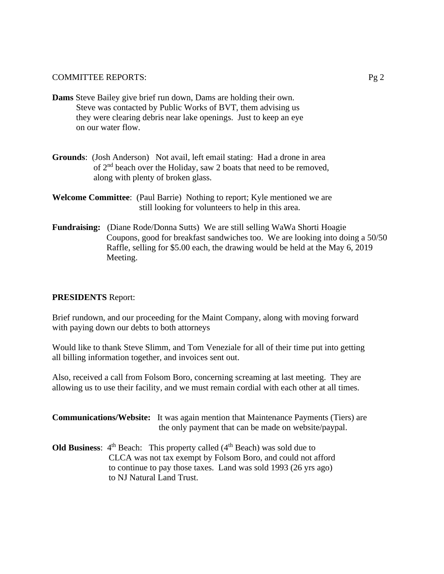- **Dams** Steve Bailey give brief run down, Dams are holding their own. Steve was contacted by Public Works of BVT, them advising us they were clearing debris near lake openings. Just to keep an eye on our water flow.
- **Grounds**: (Josh Anderson) Not avail, left email stating: Had a drone in area of 2nd beach over the Holiday, saw 2 boats that need to be removed, along with plenty of broken glass.
- **Welcome Committee**: (Paul Barrie) Nothing to report; Kyle mentioned we are still looking for volunteers to help in this area.
- **Fundraising:** (Diane Rode/Donna Sutts) We are still selling WaWa Shorti Hoagie Coupons, good for breakfast sandwiches too. We are looking into doing a 50/50 Raffle, selling for \$5.00 each, the drawing would be held at the May 6, 2019 Meeting.

# **PRESIDENTS** Report:

Brief rundown, and our proceeding for the Maint Company, along with moving forward with paying down our debts to both attorneys

Would like to thank Steve Slimm, and Tom Veneziale for all of their time put into getting all billing information together, and invoices sent out.

Also, received a call from Folsom Boro, concerning screaming at last meeting. They are allowing us to use their facility, and we must remain cordial with each other at all times.

**Communications/Website:** It was again mention that Maintenance Payments (Tiers) are the only payment that can be made on website/paypal.

**Old Business:**  $4<sup>th</sup>$  Beach: This property called  $(4<sup>th</sup>$  Beach) was sold due to CLCA was not tax exempt by Folsom Boro, and could not afford to continue to pay those taxes. Land was sold 1993 (26 yrs ago) to NJ Natural Land Trust.